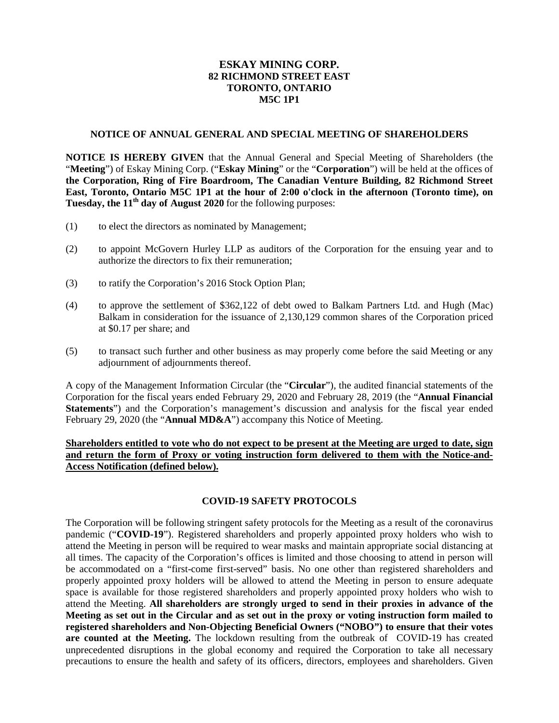# **ESKAY MINING CORP. 82 RICHMOND STREET EAST TORONTO, ONTARIO M5C 1P1**

#### **NOTICE OF ANNUAL GENERAL AND SPECIAL MEETING OF SHAREHOLDERS**

**NOTICE IS HEREBY GIVEN** that the Annual General and Special Meeting of Shareholders (the "**Meeting**") of Eskay Mining Corp. ("**Eskay Mining**" or the "**Corporation**") will be held at the offices of **the Corporation, Ring of Fire Boardroom, The Canadian Venture Building, 82 Richmond Street East, Toronto, Ontario M5C 1P1 at the hour of 2:00 o'clock in the afternoon (Toronto time), on Tuesday, the 11th day of August 2020** for the following purposes:

- (1) to elect the directors as nominated by Management;
- (2) to appoint McGovern Hurley LLP as auditors of the Corporation for the ensuing year and to authorize the directors to fix their remuneration;
- (3) to ratify the Corporation's 2016 Stock Option Plan;
- (4) to approve the settlement of \$362,122 of debt owed to Balkam Partners Ltd. and Hugh (Mac) Balkam in consideration for the issuance of 2,130,129 common shares of the Corporation priced at \$0.17 per share; and
- (5) to transact such further and other business as may properly come before the said Meeting or any adjournment of adjournments thereof.

A copy of the Management Information Circular (the "**Circular**"), the audited financial statements of the Corporation for the fiscal years ended February 29, 2020 and February 28, 2019 (the "**Annual Financial Statements**") and the Corporation's management's discussion and analysis for the fiscal year ended February 29, 2020 (the "**Annual MD&A**") accompany this Notice of Meeting.

# **Shareholders entitled to vote who do not expect to be present at the Meeting are urged to date, sign and return the form of Proxy or voting instruction form delivered to them with the Notice-and-Access Notification (defined below).**

# **COVID-19 SAFETY PROTOCOLS**

The Corporation will be following stringent safety protocols for the Meeting as a result of the coronavirus pandemic ("**COVID-19**"). Registered shareholders and properly appointed proxy holders who wish to attend the Meeting in person will be required to wear masks and maintain appropriate social distancing at all times. The capacity of the Corporation's offices is limited and those choosing to attend in person will be accommodated on a "first-come first-served" basis. No one other than registered shareholders and properly appointed proxy holders will be allowed to attend the Meeting in person to ensure adequate space is available for those registered shareholders and properly appointed proxy holders who wish to attend the Meeting. **All shareholders are strongly urged to send in their proxies in advance of the Meeting as set out in the Circular and as set out in the proxy or voting instruction form mailed to registered shareholders and Non-Objecting Beneficial Owners ("NOBO") to ensure that their votes are counted at the Meeting.** The lockdown resulting from the outbreak of COVID-19 has created unprecedented disruptions in the global economy and required the Corporation to take all necessary precautions to ensure the health and safety of its officers, directors, employees and shareholders. Given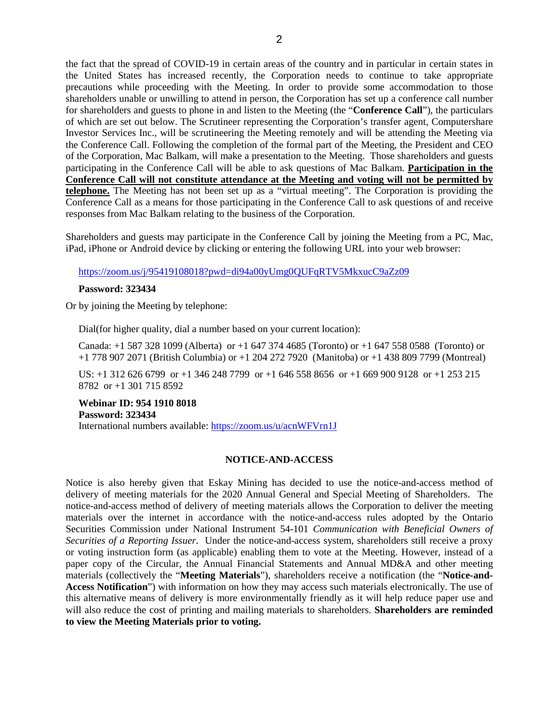the fact that the spread of COVID-19 in certain areas of the country and in particular in certain states in the United States has increased recently, the Corporation needs to continue to take appropriate precautions while proceeding with the Meeting. In order to provide some accommodation to those shareholders unable or unwilling to attend in person, the Corporation has set up a conference call number for shareholders and guests to phone in and listen to the Meeting (the "**Conference Call**"), the particulars of which are set out below. The Scrutineer representing the Corporation's transfer agent, Computershare Investor Services Inc., will be scrutineering the Meeting remotely and will be attending the Meeting via the Conference Call. Following the completion of the formal part of the Meeting, the President and CEO of the Corporation, Mac Balkam, will make a presentation to the Meeting. Those shareholders and guests participating in the Conference Call will be able to ask questions of Mac Balkam. **Participation in the Conference Call will not constitute attendance at the Meeting and voting will not be permitted by telephone.** The Meeting has not been set up as a "virtual meeting". The Corporation is providing the Conference Call as a means for those participating in the Conference Call to ask questions of and receive responses from Mac Balkam relating to the business of the Corporation.

Shareholders and guests may participate in the Conference Call by joining the Meeting from a PC, Mac, iPad, iPhone or Android device by clicking or entering the following URL into your web browser:

https://zoom.us/j/95419108018?pwd=di94a00yUmg0QUFqRTV5MkxucC9aZz09

### **Password: 323434**

Or by joining the Meeting by telephone:

Dial(for higher quality, dial a number based on your current location):

Canada: +1 587 328 1099 (Alberta) or +1 647 374 4685 (Toronto) or +1 647 558 0588 (Toronto) or +1 778 907 2071 (British Columbia) or +1 204 272 7920 (Manitoba) or +1 438 809 7799 (Montreal)

US: +1 312 626 6799 or +1 346 248 7799 or +1 646 558 8656 or +1 669 900 9128 or +1 253 215 8782 or +1 301 715 8592

**Webinar ID: 954 1910 8018 Password: 323434** International numbers available: https://zoom.us/u/acnWFVrn1J

# **NOTICE-AND-ACCESS**

Notice is also hereby given that Eskay Mining has decided to use the notice-and-access method of delivery of meeting materials for the 2020 Annual General and Special Meeting of Shareholders. The notice-and-access method of delivery of meeting materials allows the Corporation to deliver the meeting materials over the internet in accordance with the notice-and-access rules adopted by the Ontario Securities Commission under National Instrument 54-101 *Communication with Beneficial Owners of Securities of a Reporting Issuer*. Under the notice-and-access system, shareholders still receive a proxy or voting instruction form (as applicable) enabling them to vote at the Meeting. However, instead of a paper copy of the Circular, the Annual Financial Statements and Annual MD&A and other meeting materials (collectively the "**Meeting Materials**"), shareholders receive a notification (the "**Notice-and-Access Notification**") with information on how they may access such materials electronically. The use of this alternative means of delivery is more environmentally friendly as it will help reduce paper use and will also reduce the cost of printing and mailing materials to shareholders. **Shareholders are reminded to view the Meeting Materials prior to voting.**